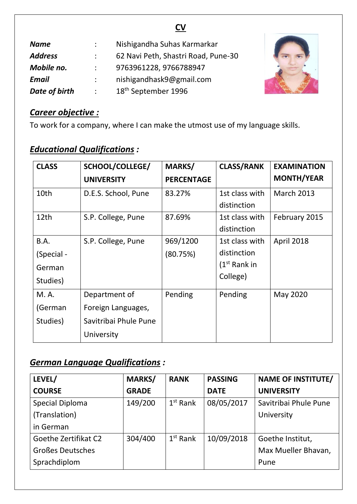| v.<br>v |  |
|---------|--|

| <b>Name</b>    |               | Nishigandha Suhas Karmarkar         |
|----------------|---------------|-------------------------------------|
| <b>Address</b> |               | 62 Navi Peth, Shastri Road, Pune-30 |
| Mobile no.     |               | 9763961228, 9766788947              |
| <b>Email</b>   |               | nishigandhask9@gmail.com            |
| Date of birth  | $\mathcal{L}$ | 18 <sup>th</sup> September 1996     |



### *Career objective :*

To work for a company, where I can make the utmost use of my language skills.

# *Educational Qualifications :*

| <b>CLASS</b> | SCHOOL/COLLEGE/       | MARKS/            | <b>CLASS/RANK</b> | <b>EXAMINATION</b> |
|--------------|-----------------------|-------------------|-------------------|--------------------|
|              | <b>UNIVERSITY</b>     | <b>PERCENTAGE</b> |                   | <b>MONTH/YEAR</b>  |
| 10th         | D.E.S. School, Pune   | 83.27%            | 1st class with    | <b>March 2013</b>  |
|              |                       |                   | distinction       |                    |
| 12th         | S.P. College, Pune    | 87.69%            | 1st class with    | February 2015      |
|              |                       |                   | distinction       |                    |
| B.A.         | S.P. College, Pune    | 969/1200          | 1st class with    | April 2018         |
| (Special -   |                       | (80.75%)          | distinction       |                    |
| German       |                       |                   | $(1st$ Rank in    |                    |
| Studies)     |                       |                   | College)          |                    |
| M. A.        | Department of         | Pending           | Pending           | May 2020           |
| (German      | Foreign Languages,    |                   |                   |                    |
| Studies)     | Savitribai Phule Pune |                   |                   |                    |
|              | University            |                   |                   |                    |

## *German Language Qualifications :*

| LEVEL/                  | <b>MARKS/</b> | <b>RANK</b> | <b>PASSING</b> | <b>NAME OF INSTITUTE/</b> |
|-------------------------|---------------|-------------|----------------|---------------------------|
| <b>COURSE</b>           | <b>GRADE</b>  |             | <b>DATE</b>    | <b>UNIVERSITY</b>         |
| Special Diploma         | 149/200       | $1st$ Rank  | 08/05/2017     | Savitribai Phule Pune     |
| (Translation)           |               |             |                | University                |
| in German               |               |             |                |                           |
| Goethe Zertifikat C2    | 304/400       | $1st$ Rank  | 10/09/2018     | Goethe Institut,          |
| <b>Großes Deutsches</b> |               |             |                | Max Mueller Bhavan,       |
| Sprachdiplom            |               |             |                | Pune                      |